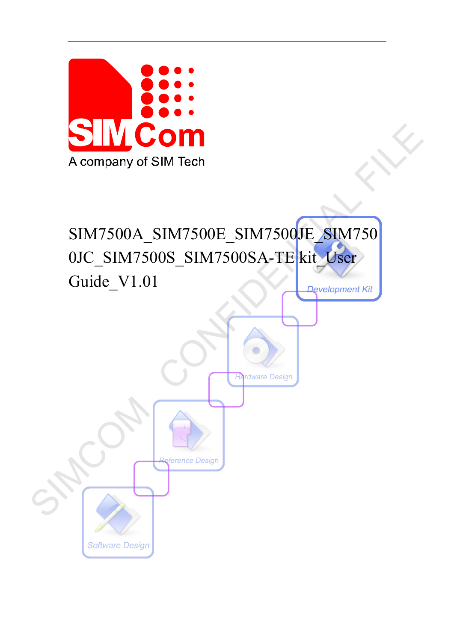

# SIM7500A\_SIM7500E\_SIM7500JE\_SIM750 0JC\_SIM7500S\_SIM7500SA-TE kit\_User Guide\_V1.01

A company of SIM Tech<br>
SIM7500A\_SIM7500E\_SIM7500E\_SIM750<br>
OIC\_SIM7500S\_SIM7500SA-TE kit\_User<br>
Guide\_V1.01<br>
Confidence Design **Software Design**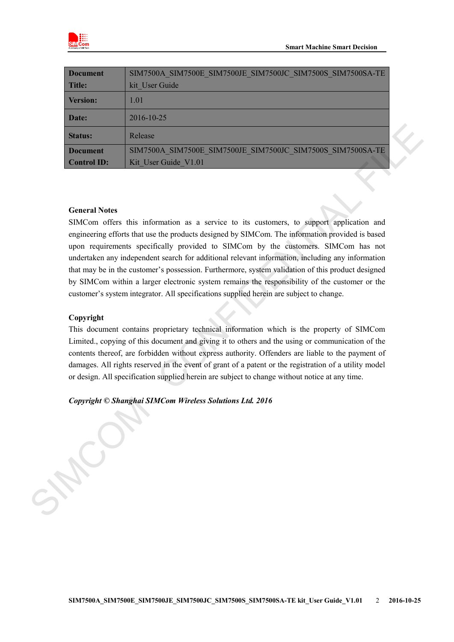

| <b>Document</b>    | SIM7500A SIM7500E SIM7500JE SIM7500JC SIM7500S SIM7500SA-TE |
|--------------------|-------------------------------------------------------------|
| <b>Title:</b>      | kit User Guide                                              |
| <b>Version:</b>    | 1.01                                                        |
| Date:              | 2016-10-25                                                  |
| <b>Status:</b>     | Release                                                     |
| <b>Document</b>    | SIM7500A SIM7500E SIM7500JE SIM7500JC SIM7500S SIM7500SA-TE |
| <b>Control ID:</b> | Kit User Guide V1.01                                        |

### **General Notes**

SIMCom offers this information as a service to its customers, to support application and engineering efforts that use the products designed by SIMCom. The information provided is based upon requirements specifically provided to SIMCom by the customers. SIMCom has not undertaken any independent search for additional relevant information, including any information that may be in the customer's possession. Furthermore, system validation of this product designed by SIMCom within a larger electronic system remains the responsibility of the customer or the customer's system integrator. All specifications supplied herein are subject to change. Statins:<br>
Realistic Exploress Control SIMCSOOL SIMCSOOL SIMCSOOL SIMCSOON SIMCSOON SIMCONS CONTINUES CONTINUES CONTINUES CONTINUES CONTINUES CONTINUES CONTINUES CONTINUES CONTINUES CONTINUES CONTINUES UPON UNITS AND CONTI

#### **Copyright**

This document contains proprietary technical information which is the property of SIMCom Limited., copying of this document and giving it to others and the using or communication of the contents thereof, are forbidden without express authority. Offenders are liable to the payment of damages. All rights reserved in the event of grant of a patent or the registration of a utility model or design. All specification supplied herein are subject to change without notice at any time.

#### *Copyright © Shanghai SIMCom Wireless Solutions Ltd. 2016*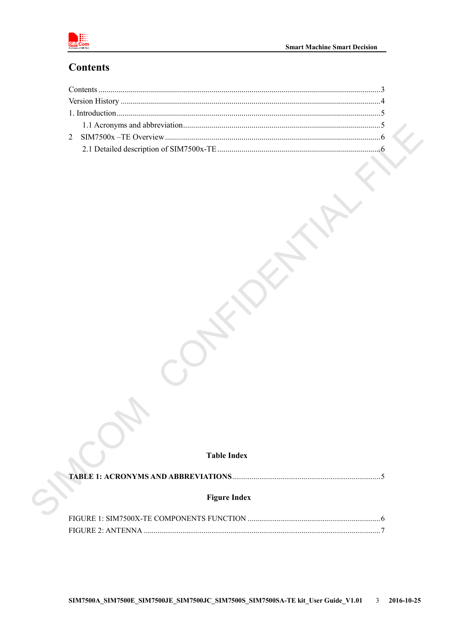

# <span id="page-2-0"></span>**Contents**

### **Table Index**

|--|--|

### **Figure Index**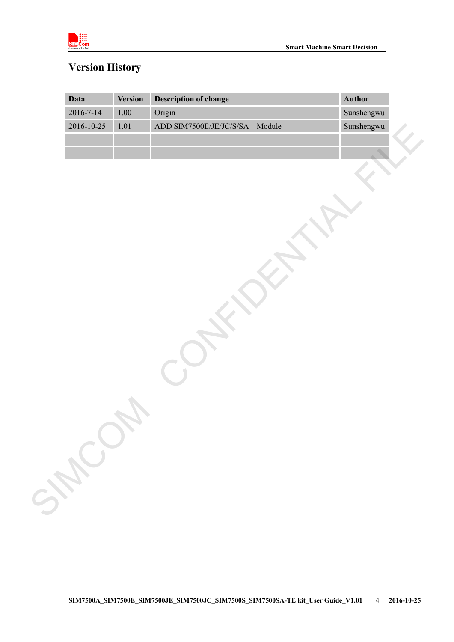

# <span id="page-3-0"></span>**Version History**

|                 | <b>Version</b> | <b>Description of change</b>   | Author     |
|-----------------|----------------|--------------------------------|------------|
| $2016 - 7 - 14$ | $1.00\,$       | Origin                         | Sunshengwu |
| 2016-10-25      | $1.01\,$       | ADD SIM7500E/JE/JC/S/SA Module | Sunshengwu |
|                 |                |                                |            |
|                 |                |                                |            |
|                 |                |                                |            |
|                 |                |                                |            |
|                 |                |                                |            |
|                 |                |                                |            |
|                 |                |                                |            |
|                 |                |                                |            |
|                 |                |                                |            |
|                 |                |                                |            |
|                 |                |                                |            |
|                 |                |                                |            |
|                 |                |                                |            |
|                 |                |                                |            |
|                 |                |                                |            |
|                 |                |                                |            |
|                 |                |                                |            |
|                 |                |                                |            |
|                 |                |                                |            |
|                 |                |                                |            |
|                 |                |                                |            |
|                 |                |                                |            |
|                 |                |                                |            |
|                 |                |                                |            |
|                 |                |                                |            |
|                 |                |                                |            |
|                 |                |                                |            |
| SHEC            |                |                                |            |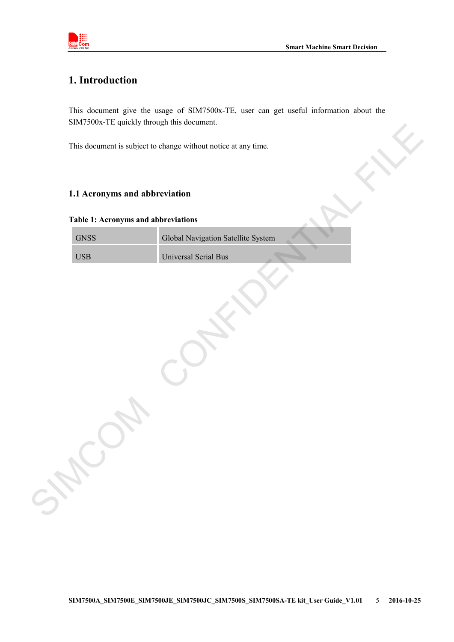

# <span id="page-4-0"></span>**1. Introduction**

This document give the usage of SIM7500x-TE, user can get useful information about the SIM7500x-TE quickly through this document.

### <span id="page-4-1"></span>**1.1 Acronyms and abbreviation**

### <span id="page-4-2"></span>**Table 1: Acronyms and abbreviations**

| Global Navigation Satellite System<br><b>Universal Serial Bus</b> |
|-------------------------------------------------------------------|
|                                                                   |
|                                                                   |
|                                                                   |
|                                                                   |
|                                                                   |
|                                                                   |
|                                                                   |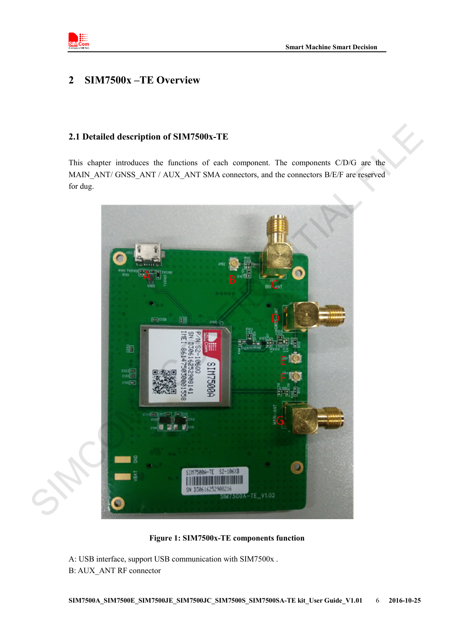

### <span id="page-5-0"></span>**2 SIM7500x –TE Overview**

### <span id="page-5-1"></span>**2.1 Detailed description of SIM7500x-TE**

This chapter introduces the functions of each component. The components C/D/G are the MAIN\_ANT/ GNSS\_ANT / AUX\_ANT SMA connectors, and the connectors B/E/F are reserved for dug.



**Figure 1: SIM7500x-TE components function**

<span id="page-5-2"></span>A: USB interface, support USB communication with SIM7500x . B: AUX\_ANT RF connector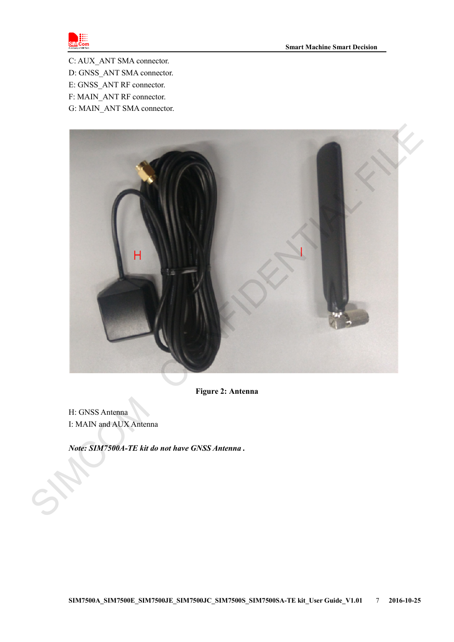

C: AUX\_ANT SMA connector.

- D: GNSS\_ANT SMA connector.
- E: GNSS\_ANT RF connector.
- F: MAIN\_ANT RF connector.
- G: MAIN\_ANT SMA connector.



**Figure 2: Antenna**

<span id="page-6-0"></span>H: GNSS Antenna I: MAIN and AUX Antenna

*Note: SIM7500A-TE kit do not have GNSS Antenna .*